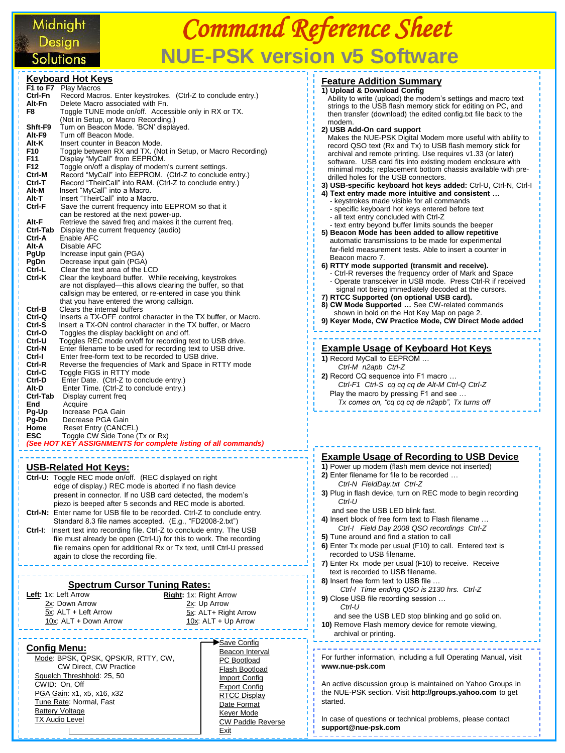## Midnight Solutions

#### **Keyboard Hot Keys F1 to F7** Play Macros **Ctrl-Fn** Record Macros. Enter keystrokes. (Ctrl-Z to conclude entry.) **Alt-Fn** Delete Macro associated with Fn. **F8** Toggle TUNE mode on/off. Accessible only in RX or TX. (Not in Setup, or Macro Recording.)<br>Shft-F9 Turn on Beacon Mode. 'BCN' displa **Shft-F9** Turn on Beacon Mode. 'BCN' displayed. Alt-F9 Turn off Beacon Mode.<br>**Alt-K** Insert counter in Beacon **Alt-K** Insert counter in Beacon Mode.<br>**F10** Toggle between RX and TX. (Ne **F10** Toggle between RX and TX. (Not in Setup, or Macro Recording)<br>**F11** Display "MyCall" from EEPROM. **F11** Display "MyCall" from EEPROM.<br>**F12** Toggle on/off a display of modem **F12** Toggle on/off a display of modem's current settings. **Ctrl-M** Record "MyCall" into EEPROM. (Ctrl-Z to conclude entry.) **Ctrl-T** Record "TheirCall" into RAM. (Ctrl-Z to conclude entry.) **Alt-M** Insert "MyCall" into a Macro.<br>**Alt-T** Insert "TheirCall" into a Macr **Alt-T** Insert "TheirCall" into a Macro.<br>**Ctrl-F** Save the current frequency int **Ctrl-F** Save the current frequency into EEPROM so that it can be restored at the next power-up. Alt-F Retrieve the saved freq and makes it the current freq.<br>Ctrl-Tab Display the current frequency (audio) **Ctrl-Tab** Display the current frequency (audio) **Ctrl-A** Enable AFC **Alt-A** Disable AFC<br>**PgUp** Increase inpu **PgUp** Increase input gain (PGA)<br>**PgDn** Decrease input gain (PGA) **PgDn** Decrease input gain (PGA)<br>**Ctrl-L** Clear the text area of the L **Ctrl-L** Clear the text area of the LCD<br>**Ctrl-K** Clear the keyboard buffer Wh Clear the keyboard buffer. While receiving, keystrokes are not displayed—this allows clearing the buffer, so that callsign may be entered, or re-entered in case you think that you have entered the wrong callsign.<br>Ctrl-B Clears the internal buffers **Ctrl-B** Clears the internal buffers<br>**Ctrl-Q** Inserts a TX-OFF control of **Ctrl-Q** Inserts a TX-OFF control character in the TX buffer, or Macro. **Ctrl-S** Insert a TX-ON control character in the TX buffer, or Macro **Ctrl-O** Toggles the display backlight on and off. **Ctrl-O** Toggles the display backlight on and off.<br>**Ctrl-U** Toggles REC mode on/off for recording t **Ctrl-U** Toggles REC mode on/off for recording text to USB drive. **Ctrl-N** Enter filename to be used for recording text to USB drive. **Ctrl-I** Enter free-form text to be recorded to USB drive. **Ctrl-R** Reverse the frequencies of Mark and Space in RTTY mode **Ctrl-C** Toggle FIGS in RTTY mode<br>**Ctrl-D** Fnter Date (Ctrl-Z to concli Enter Date. (Ctrl-Z to conclude entry.) **Alt-D** Enter Time. (Ctrl-Z to conclude entry.)<br>**Ctrl-Tab** Display current freq **Ctrl-Tab** Display current freq<br> **End** Acquire **End** Acquire<br>**Pg-Up** Increase **Increase PGA Gain Pg-Dn** Decrease PGA Gain **Home** Reset Entry (CANCEL) **ESC** Toggle CW Side Tone (Tx or Rx) *(See HOT KEY ASSIGNMENTS for complete listing of all commands)*

#### **USB-Related Hot Keys:**

**Ctrl-U:** Toggle REC mode on/off. (REC displayed on right edge of display.) REC mode is aborted if no flash device present in connector. If no USB card detected, the modem's piezo is beeped after 5 seconds and REC mode is aborted. **Ctrl-N:** Enter name for USB file to be recorded. Ctrl-Z to conclude entry. Standard 8.3 file names accepted. (E.g., "FD2008-2.txt") **Ctrl-I**: Insert text into recording file. Ctrl-Z to conclude entry. The USB file must already be open (Ctrl-U) for this to work. The recording file remains open for additional Rx or Tx text, until Ctrl-U pressed again to close the recording file.

### **Spectrum Cursor Tuning Rates:**

**Left:** 1x: Left Arrow 2x: Down Arrow 5x: ALT + Left Arrow 10x: ALT + Down Arrow **Right:** 1x: Right Arrow 2x: Up Arrow 5x: ALT+ Right Arrow  $10x$ : ALT + Up Arrow

#### **Config Menu:**

 Mode: BPSK, QPSK, QPSK/R, RTTY, CW, CW Direct, CW Practice Squelch Threshhold: 25, 50 CWID: On, Off PGA Gain: x1, x5, x16, x32 Tune Rate: Normal, Fast Battery Voltage TX Audio Level

#### Save Config Beacon Interval PC Bootload Flash Bootload

 Import Config Export Config **RTCC Display**  Date Format Keyer Mode CW Paddle Reverse Exit

| <b>Feature Addition Summary</b>                                                                      |  |  |  |  |
|------------------------------------------------------------------------------------------------------|--|--|--|--|
| 1) Upload & Download Config                                                                          |  |  |  |  |
| Ability to write (upload) the modem's settings and macro text                                        |  |  |  |  |
| strings to the USB flash memory stick for editing on PC, and                                         |  |  |  |  |
| then transfer (download) the edited config.txt file back to the                                      |  |  |  |  |
| modem.                                                                                               |  |  |  |  |
| 2) USB Add-On card support                                                                           |  |  |  |  |
| Makes the NUE-PSK Digital Modem more useful with ability to                                          |  |  |  |  |
| record QSO text (Rx and Tx) to USB flash memory stick for                                            |  |  |  |  |
| archival and remote printing. Use requires v1.33 (or later)                                          |  |  |  |  |
| software. USB card fits into existing modem enclosure with                                           |  |  |  |  |
| minimal mods; replacement bottom chassis available with pre-                                         |  |  |  |  |
| drilled holes for the USB connectors.                                                                |  |  |  |  |
| 3) USB-specific keyboard hot keys added: Ctrl-U, Ctrl-N, Ctrl-I                                      |  |  |  |  |
| 4) Text entry made more intuitive and consistent                                                     |  |  |  |  |
| - keystrokes made visible for all commands                                                           |  |  |  |  |
| - specific keyboard hot keys entered before text                                                     |  |  |  |  |
| - all text entry concluded with Ctrl-Z                                                               |  |  |  |  |
| - text entry beyond buffer limits sounds the beeper                                                  |  |  |  |  |
| 5) Beacon Mode has been added to allow repetitive                                                    |  |  |  |  |
| automatic transmissions to be made for experimental                                                  |  |  |  |  |
| far-field measurement tests. Able to insert a counter in                                             |  |  |  |  |
| Beacon macro 7.                                                                                      |  |  |  |  |
| 6) RTTY mode supported (transmit and receive).                                                       |  |  |  |  |
| - Ctrl-R reverses the frequency order of Mark and Space                                              |  |  |  |  |
| - Operate transceiver in USB mode. Press Ctrl-R if received                                          |  |  |  |  |
| signal not being immediately decoded at the cursors.                                                 |  |  |  |  |
| 7) RTCC Supported (on optional USB card).                                                            |  |  |  |  |
| 8) CW Mode Supported  See CW-related commands                                                        |  |  |  |  |
| shown in bold on the Hot Key Map on page 2.<br>9) Keyer Mode, CW Practice Mode, CW Direct Mode added |  |  |  |  |
|                                                                                                      |  |  |  |  |
|                                                                                                      |  |  |  |  |
| <u>Example Usage of Keyboard Hot Keys</u>                                                            |  |  |  |  |
| 1) Record MyCall to EEPROM                                                                           |  |  |  |  |
| Ctrl-M n2apb Ctrl-Z                                                                                  |  |  |  |  |
| 2) Record CQ sequence into F1 macro                                                                  |  |  |  |  |
| Ctrl-F1 Ctrl-S cq cq cq de Alt-M Ctrl-Q Ctrl-Z                                                       |  |  |  |  |
| Play the macro by pressing F1 and see                                                                |  |  |  |  |
| Tx comes on, "cq cq cq de n2apb", Tx turns off                                                       |  |  |  |  |
|                                                                                                      |  |  |  |  |
|                                                                                                      |  |  |  |  |

#### **Example Usage of Recording to USB Device**

- **1)** Power up modem (flash mem device not inserted) **2)** Enter filename for file to be recorded … *Ctrl-N FieldDay.txt Ctrl-Z*
- **3)** Plug in flash device, turn on REC mode to begin recording *Ctrl-U*
- and see the USB LED blink fast.
- **4)** Insert block of free form text to Flash filename … *Ctrl-I Field Day 2008 QSO recordings Ctrl-Z*
- **5)** Tune around and find a station to call
- **6)** Enter Tx mode per usual (F10) to call. Entered text is recorded to USB filename.
- **7)** Enter Rx mode per usual (F10) to receive. Receive text is recorded to USB filename.
- **8)** Insert free form text to USB file …
- *Ctrl-I Time ending QSO is 2130 hrs. Ctrl-Z* **9)** Close USB file recording session …
- *Ctrl-U*
- and see the USB LED stop blinking and go solid on. **10)** Remove Flash memory device for remote viewing, archival or printing.

For further information, including a full Operating Manual, visit **www.nue-psk.com**

An active discussion group is maintained on Yahoo Groups in the NUE-PSK section. Visit **http://groups.yahoo.com** to get started.

In case of questions or technical problems, please contact **support@nue-psk.com** ی برابر برابر برابر برابر برابر برابر